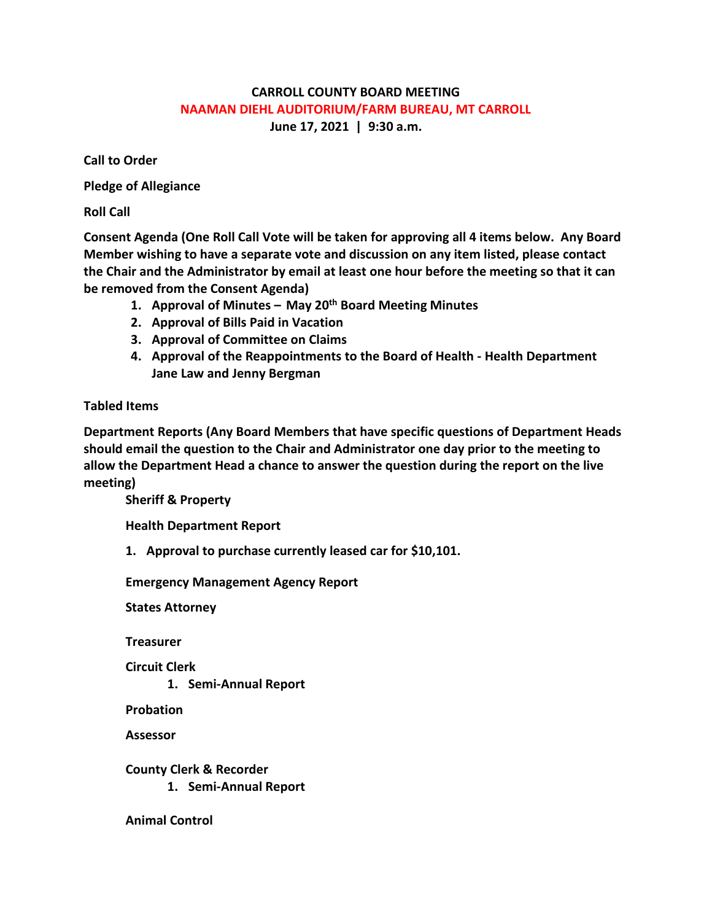## **CARROLL COUNTY BOARD MEETING NAAMAN DIEHL AUDITORIUM/FARM BUREAU, MT CARROLL June 17, 2021 | 9:30 a.m.**

**Call to Order**

**Pledge of Allegiance**

**Roll Call**

**Consent Agenda (One Roll Call Vote will be taken for approving all 4 items below. Any Board Member wishing to have a separate vote and discussion on any item listed, please contact the Chair and the Administrator by email at least one hour before the meeting so that it can be removed from the Consent Agenda)**

- **1. Approval of Minutes – May 20th Board Meeting Minutes**
- **2. Approval of Bills Paid in Vacation**
- **3. Approval of Committee on Claims**
- **4. Approval of the Reappointments to the Board of Health - Health Department Jane Law and Jenny Bergman**

## **Tabled Items**

**Department Reports (Any Board Members that have specific questions of Department Heads should email the question to the Chair and Administrator one day prior to the meeting to allow the Department Head a chance to answer the question during the report on the live meeting)**

**Sheriff & Property**

**Health Department Report**

**1. Approval to purchase currently leased car for \$10,101.** 

**Emergency Management Agency Report**

**States Attorney**

**Treasurer**

**Circuit Clerk**

**1. Semi-Annual Report**

**Probation**

**Assessor**

**County Clerk & Recorder**

**1. Semi-Annual Report**

**Animal Control**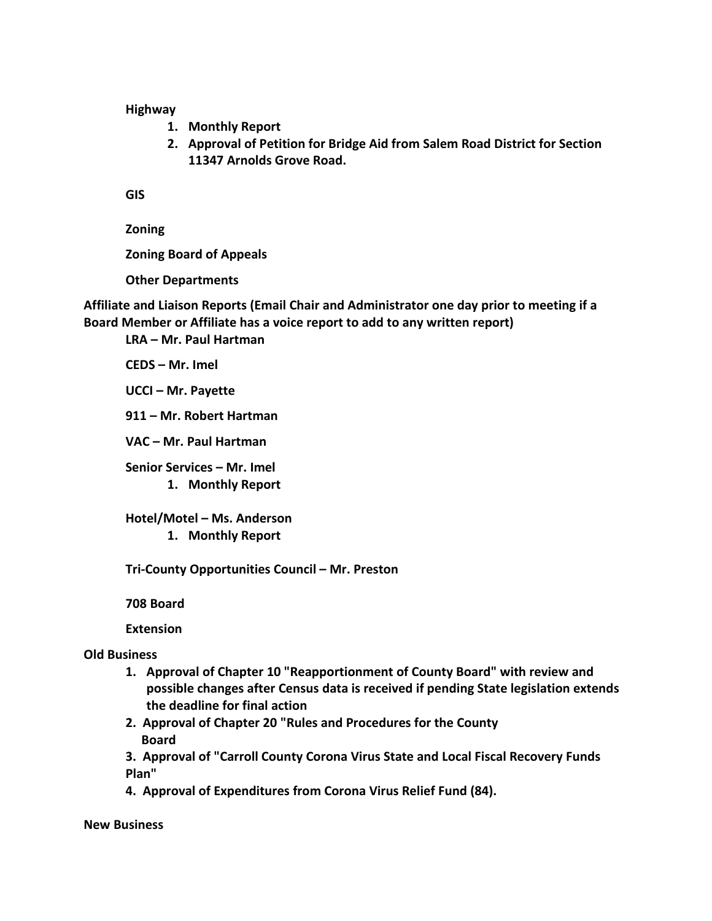**Highway**

- **1. Monthly Report**
- **2. Approval of Petition for Bridge Aid from Salem Road District for Section 11347 Arnolds Grove Road.**

**GIS**

**Zoning**

**Zoning Board of Appeals**

**Other Departments**

**Affiliate and Liaison Reports (Email Chair and Administrator one day prior to meeting if a Board Member or Affiliate has a voice report to add to any written report)**

**LRA – Mr. Paul Hartman**

**CEDS – Mr. Imel**

**UCCI – Mr. Payette**

**911 – Mr. Robert Hartman**

**VAC – Mr. Paul Hartman**

**Senior Services – Mr. Imel 1. Monthly Report**

**Hotel/Motel – Ms. Anderson 1. Monthly Report**

**Tri-County Opportunities Council – Mr. Preston**

**708 Board**

**Extension**

## **Old Business**

- **1. Approval of Chapter 10 "Reapportionment of County Board" with review and possible changes after Census data is received if pending State legislation extends the deadline for final action**
- **2. Approval of Chapter 20 "Rules and Procedures for the County Board**

**3. Approval of "Carroll County Corona Virus State and Local Fiscal Recovery Funds Plan"**

**4. Approval of Expenditures from Corona Virus Relief Fund (84).** 

**New Business**